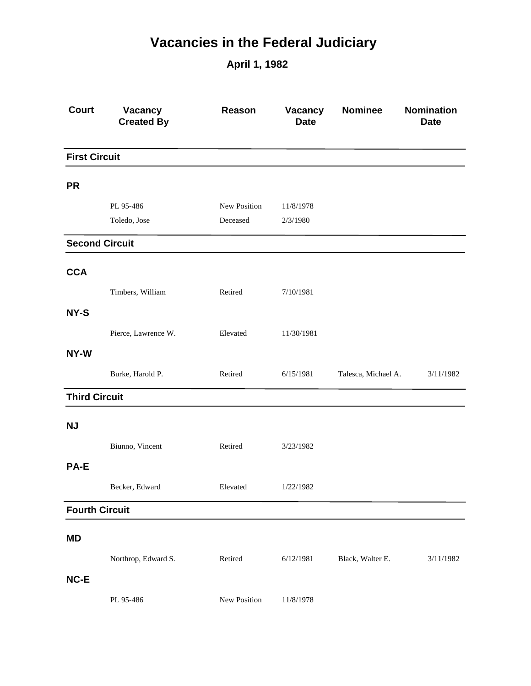## **Vacancies in the Federal Judiciary**

**April 1, 1982**

| <b>Court</b>          | Vacancy<br><b>Created By</b> | Reason       | Vacancy<br><b>Date</b> | <b>Nominee</b>      | <b>Nomination</b><br><b>Date</b> |
|-----------------------|------------------------------|--------------|------------------------|---------------------|----------------------------------|
| <b>First Circuit</b>  |                              |              |                        |                     |                                  |
| <b>PR</b>             |                              |              |                        |                     |                                  |
|                       | PL 95-486                    | New Position | 11/8/1978              |                     |                                  |
|                       | Toledo, Jose                 | Deceased     | 2/3/1980               |                     |                                  |
| <b>Second Circuit</b> |                              |              |                        |                     |                                  |
| <b>CCA</b>            |                              |              |                        |                     |                                  |
|                       | Timbers, William             | Retired      | 7/10/1981              |                     |                                  |
| NY-S                  |                              |              |                        |                     |                                  |
|                       | Pierce, Lawrence W.          | Elevated     | 11/30/1981             |                     |                                  |
| NY-W                  |                              |              |                        |                     |                                  |
|                       | Burke, Harold P.             | Retired      | 6/15/1981              | Talesca, Michael A. | 3/11/1982                        |
| <b>Third Circuit</b>  |                              |              |                        |                     |                                  |
| <b>NJ</b>             |                              |              |                        |                     |                                  |
|                       | Biunno, Vincent              | Retired      | 3/23/1982              |                     |                                  |
| <b>PA-E</b>           |                              |              |                        |                     |                                  |
|                       | Becker, Edward               | Elevated     | 1/22/1982              |                     |                                  |
| <b>Fourth Circuit</b> |                              |              |                        |                     |                                  |
| <b>MD</b>             |                              |              |                        |                     |                                  |
|                       | Northrop, Edward S.          | Retired      | 6/12/1981              | Black, Walter E.    | 3/11/1982                        |
| NC-E                  |                              |              |                        |                     |                                  |
|                       | PL 95-486                    | New Position | 11/8/1978              |                     |                                  |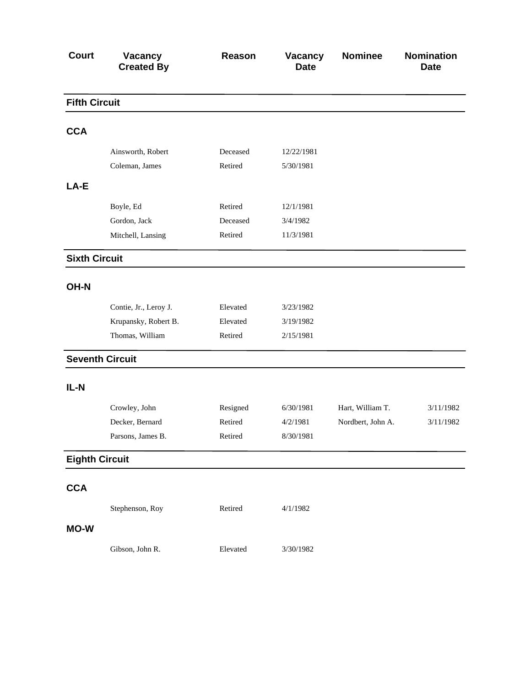| <b>Court</b>          | Vacancy<br><b>Created By</b> | Reason   | Vacancy<br><b>Date</b> | <b>Nominee</b>    | <b>Nomination</b><br><b>Date</b> |
|-----------------------|------------------------------|----------|------------------------|-------------------|----------------------------------|
| <b>Fifth Circuit</b>  |                              |          |                        |                   |                                  |
| <b>CCA</b>            |                              |          |                        |                   |                                  |
|                       | Ainsworth, Robert            | Deceased | 12/22/1981             |                   |                                  |
|                       | Coleman, James               | Retired  | 5/30/1981              |                   |                                  |
| LA-E                  |                              |          |                        |                   |                                  |
|                       | Boyle, Ed                    | Retired  | 12/1/1981              |                   |                                  |
|                       | Gordon, Jack                 | Deceased | 3/4/1982               |                   |                                  |
|                       | Mitchell, Lansing            | Retired  | 11/3/1981              |                   |                                  |
| <b>Sixth Circuit</b>  |                              |          |                        |                   |                                  |
| OH-N                  |                              |          |                        |                   |                                  |
|                       | Contie, Jr., Leroy J.        | Elevated | 3/23/1982              |                   |                                  |
|                       | Krupansky, Robert B.         | Elevated | 3/19/1982              |                   |                                  |
|                       | Thomas, William              | Retired  | 2/15/1981              |                   |                                  |
|                       | <b>Seventh Circuit</b>       |          |                        |                   |                                  |
| IL-N                  |                              |          |                        |                   |                                  |
|                       | Crowley, John                | Resigned | 6/30/1981              | Hart, William T.  | 3/11/1982                        |
|                       | Decker, Bernard              | Retired  | 4/2/1981               | Nordbert, John A. | 3/11/1982                        |
|                       | Parsons, James B.            | Retired  | 8/30/1981              |                   |                                  |
| <b>Eighth Circuit</b> |                              |          |                        |                   |                                  |
| <b>CCA</b>            |                              |          |                        |                   |                                  |
|                       | Stephenson, Roy              | Retired  | 4/1/1982               |                   |                                  |
| <b>MO-W</b>           |                              |          |                        |                   |                                  |
|                       | Gibson, John R.              | Elevated | 3/30/1982              |                   |                                  |
|                       |                              |          |                        |                   |                                  |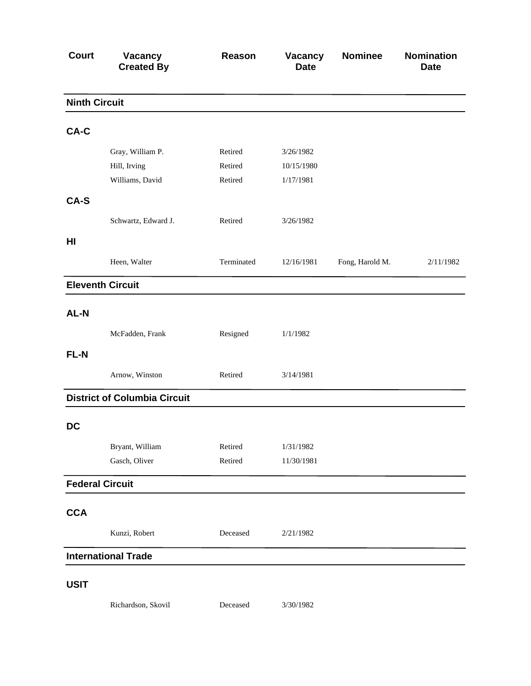| <b>Court</b>           | <b>Vacancy</b><br><b>Created By</b> | Reason     | Vacancy<br><b>Date</b> | <b>Nominee</b>  | <b>Nomination</b><br><b>Date</b> |
|------------------------|-------------------------------------|------------|------------------------|-----------------|----------------------------------|
| <b>Ninth Circuit</b>   |                                     |            |                        |                 |                                  |
| CA-C                   |                                     |            |                        |                 |                                  |
|                        | Gray, William P.                    | Retired    | 3/26/1982              |                 |                                  |
|                        | Hill, Irving                        | Retired    | 10/15/1980             |                 |                                  |
|                        | Williams, David                     | Retired    | 1/17/1981              |                 |                                  |
| CA-S                   |                                     |            |                        |                 |                                  |
|                        | Schwartz, Edward J.                 | Retired    | 3/26/1982              |                 |                                  |
| HI                     |                                     |            |                        |                 |                                  |
|                        | Heen, Walter                        | Terminated | 12/16/1981             | Fong, Harold M. | 2/11/1982                        |
|                        | <b>Eleventh Circuit</b>             |            |                        |                 |                                  |
| AL-N                   |                                     |            |                        |                 |                                  |
|                        | McFadden, Frank                     | Resigned   | 1/1/1982               |                 |                                  |
| FL-N                   |                                     |            |                        |                 |                                  |
|                        |                                     |            |                        |                 |                                  |
|                        | Arnow, Winston                      | Retired    | 3/14/1981              |                 |                                  |
|                        | <b>District of Columbia Circuit</b> |            |                        |                 |                                  |
| <b>DC</b>              |                                     |            |                        |                 |                                  |
|                        | Bryant, William                     | Retired    | 1/31/1982              |                 |                                  |
|                        | Gasch, Oliver                       | Retired    | 11/30/1981             |                 |                                  |
| <b>Federal Circuit</b> |                                     |            |                        |                 |                                  |
| <b>CCA</b>             |                                     |            |                        |                 |                                  |
|                        | Kunzi, Robert                       | Deceased   | 2/21/1982              |                 |                                  |
|                        | <b>International Trade</b>          |            |                        |                 |                                  |
| <b>USIT</b>            |                                     |            |                        |                 |                                  |
|                        | Richardson, Skovil                  | Deceased   | 3/30/1982              |                 |                                  |
|                        |                                     |            |                        |                 |                                  |